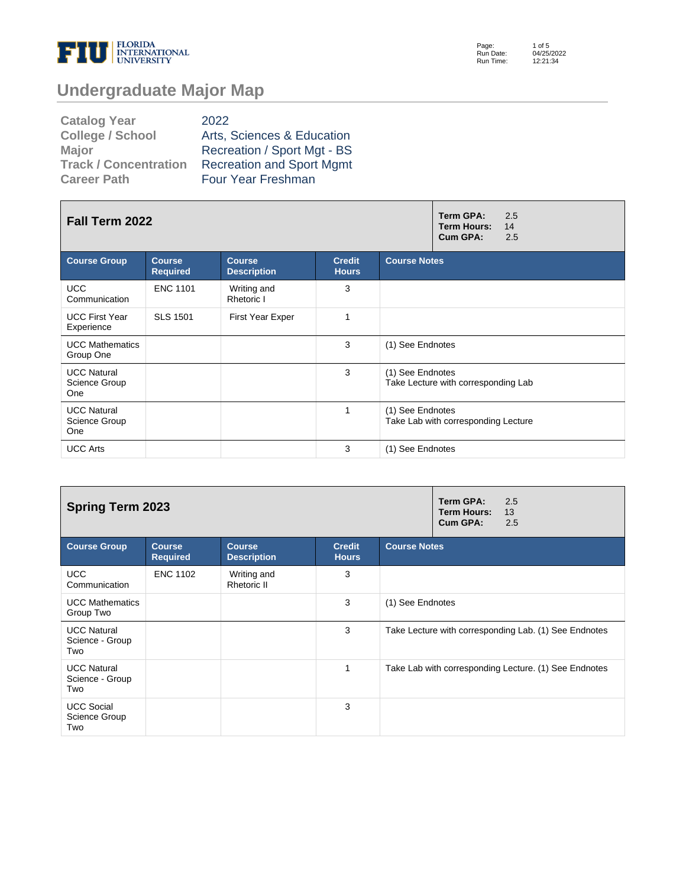

Page: Run Date: Run Time: 1 of 5 04/25/2022 12:21:34

# **Undergraduate Major Map**

| <b>Catalog Year</b>          | 2022                             |
|------------------------------|----------------------------------|
| <b>College / School</b>      | Arts, Sciences & Education       |
| <b>Major</b>                 | Recreation / Sport Mgt - BS      |
| <b>Track / Concentration</b> | <b>Recreation and Sport Mgmt</b> |
| <b>Career Path</b>           | <b>Four Year Freshman</b>        |

| Fall Term 2022                             |                                  | Term GPA:<br>2.5<br>Term Hours:<br>14<br>Cum GPA:<br>2.5 |                               |                                                         |
|--------------------------------------------|----------------------------------|----------------------------------------------------------|-------------------------------|---------------------------------------------------------|
| <b>Course Group</b>                        | <b>Course</b><br><b>Required</b> | <b>Course</b><br><b>Description</b>                      | <b>Credit</b><br><b>Hours</b> | <b>Course Notes</b>                                     |
| <b>UCC</b><br>Communication                | <b>ENC 1101</b>                  | Writing and<br>Rhetoric I                                | 3                             |                                                         |
| <b>UCC First Year</b><br>Experience        | <b>SLS 1501</b>                  | <b>First Year Exper</b>                                  | 1                             |                                                         |
| <b>UCC Mathematics</b><br>Group One        |                                  |                                                          | 3                             | (1) See Endnotes                                        |
| <b>UCC Natural</b><br>Science Group<br>One |                                  |                                                          | 3                             | (1) See Endnotes<br>Take Lecture with corresponding Lab |
| <b>UCC Natural</b><br>Science Group<br>One |                                  |                                                          | 1                             | (1) See Endnotes<br>Take Lab with corresponding Lecture |
| <b>UCC Arts</b>                            |                                  |                                                          | 3                             | (1) See Endnotes                                        |

| <b>Spring Term 2023</b>                      |                                  | Term GPA:<br>2.5<br><b>Term Hours:</b><br>13<br>Cum GPA:<br>2.5 |                               |                                                       |
|----------------------------------------------|----------------------------------|-----------------------------------------------------------------|-------------------------------|-------------------------------------------------------|
| <b>Course Group</b>                          | <b>Course</b><br><b>Required</b> | <b>Course</b><br><b>Description</b>                             | <b>Credit</b><br><b>Hours</b> | <b>Course Notes</b>                                   |
| <b>UCC</b><br>Communication                  | <b>ENC 1102</b>                  | Writing and<br>Rhetoric II                                      | 3                             |                                                       |
| <b>UCC Mathematics</b><br>Group Two          |                                  |                                                                 | 3                             | (1) See Endnotes                                      |
| <b>UCC Natural</b><br>Science - Group<br>Two |                                  |                                                                 | 3                             | Take Lecture with corresponding Lab. (1) See Endnotes |
| <b>UCC Natural</b><br>Science - Group<br>Two |                                  |                                                                 | 1                             | Take Lab with corresponding Lecture. (1) See Endnotes |
| <b>UCC Social</b><br>Science Group<br>Two    |                                  |                                                                 | 3                             |                                                       |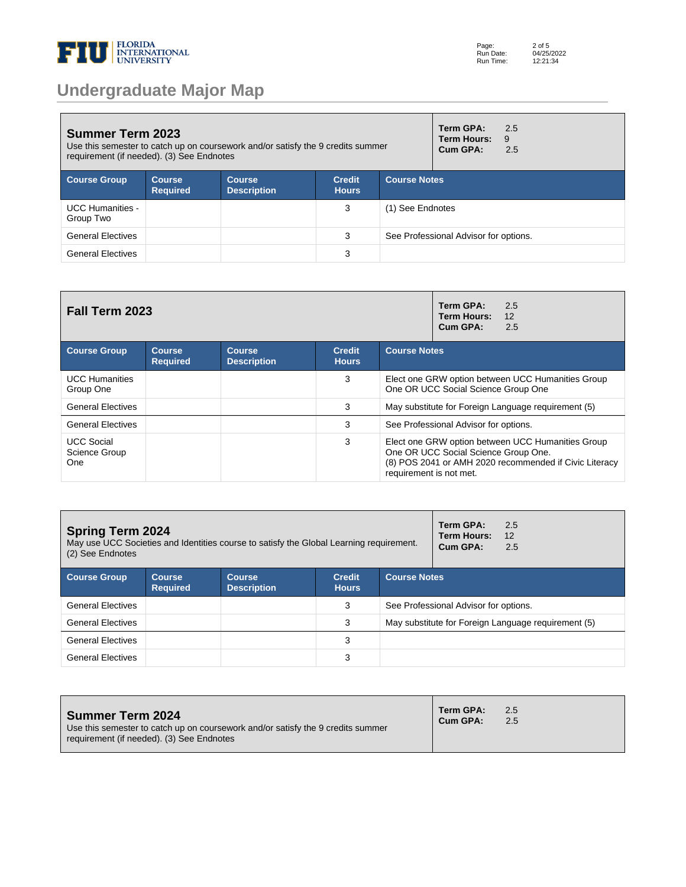

# **Undergraduate Major Map**

| <b>Summer Term 2023</b><br>Use this semester to catch up on coursework and/or satisfy the 9 credits summer<br>requirement (if needed). (3) See Endnotes |                                  |                                     |                               |                     | Term GPA:<br><b>Term Hours:</b><br>Cum GPA: | 2.5<br>9<br>2.5 |
|---------------------------------------------------------------------------------------------------------------------------------------------------------|----------------------------------|-------------------------------------|-------------------------------|---------------------|---------------------------------------------|-----------------|
| <b>Course Group</b>                                                                                                                                     | <b>Course</b><br><b>Required</b> | <b>Course</b><br><b>Description</b> | <b>Credit</b><br><b>Hours</b> | <b>Course Notes</b> |                                             |                 |
| <b>UCC Humanities -</b><br>Group Two                                                                                                                    |                                  |                                     | 3                             | (1) See Endnotes    |                                             |                 |
| <b>General Electives</b>                                                                                                                                |                                  |                                     | 3                             |                     | See Professional Advisor for options.       |                 |
| <b>General Electives</b>                                                                                                                                |                                  |                                     | 3                             |                     |                                             |                 |

| Fall Term 2023                            |                                  | Term GPA:<br>2.5<br>12<br><b>Term Hours:</b><br>Cum GPA:<br>2.5 |                               |                                                                                                                                                                                |  |  |  |
|-------------------------------------------|----------------------------------|-----------------------------------------------------------------|-------------------------------|--------------------------------------------------------------------------------------------------------------------------------------------------------------------------------|--|--|--|
| <b>Course Group</b>                       | <b>Course</b><br><b>Required</b> | <b>Course</b><br><b>Description</b>                             | <b>Credit</b><br><b>Hours</b> | <b>Course Notes</b>                                                                                                                                                            |  |  |  |
| <b>UCC Humanities</b><br>Group One        |                                  |                                                                 | 3                             | Elect one GRW option between UCC Humanities Group<br>One OR UCC Social Science Group One                                                                                       |  |  |  |
| <b>General Electives</b>                  |                                  |                                                                 | 3                             | May substitute for Foreign Language requirement (5)                                                                                                                            |  |  |  |
| <b>General Electives</b>                  |                                  |                                                                 | 3                             | See Professional Advisor for options.                                                                                                                                          |  |  |  |
| <b>UCC Social</b><br>Science Group<br>One |                                  |                                                                 | 3                             | Elect one GRW option between UCC Humanities Group<br>One OR UCC Social Science Group One.<br>(8) POS 2041 or AMH 2020 recommended if Civic Literacy<br>requirement is not met. |  |  |  |

| <b>Spring Term 2024</b><br>May use UCC Societies and Identities course to satisfy the Global Learning requirement.<br>(2) See Endnotes |                                  |                                     |                               |                     | Term GPA:<br><b>Term Hours:</b><br>Cum GPA: | 2.5<br>12<br>2.5                                    |
|----------------------------------------------------------------------------------------------------------------------------------------|----------------------------------|-------------------------------------|-------------------------------|---------------------|---------------------------------------------|-----------------------------------------------------|
| <b>Course Group</b>                                                                                                                    | <b>Course</b><br><b>Required</b> | <b>Course</b><br><b>Description</b> | <b>Credit</b><br><b>Hours</b> | <b>Course Notes</b> |                                             |                                                     |
| <b>General Electives</b>                                                                                                               |                                  |                                     | 3                             |                     | See Professional Advisor for options.       |                                                     |
| <b>General Electives</b>                                                                                                               |                                  |                                     | 3                             |                     |                                             | May substitute for Foreign Language requirement (5) |
| <b>General Electives</b>                                                                                                               |                                  |                                     | 3                             |                     |                                             |                                                     |
| <b>General Electives</b>                                                                                                               |                                  |                                     | 3                             |                     |                                             |                                                     |

| <b>Summer Term 2024</b><br>Use this semester to catch up on coursework and/or satisfy the 9 credits summer<br>requirement (if needed). (3) See Endnotes | Term GPA:<br>Cum GPA: | 2.5<br>2.5 |  |
|---------------------------------------------------------------------------------------------------------------------------------------------------------|-----------------------|------------|--|
|---------------------------------------------------------------------------------------------------------------------------------------------------------|-----------------------|------------|--|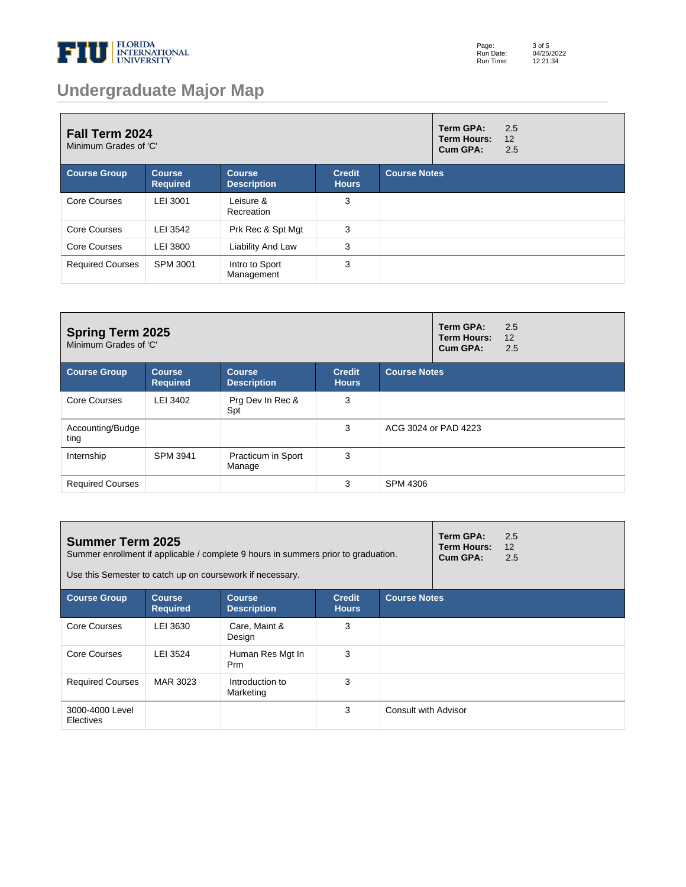

# **Undergraduate Major Map**

| Fall Term 2024<br>Minimum Grades of 'C' |                                  |                                     |                               |                     | Term GPA:<br><b>Term Hours:</b><br>Cum GPA: | 2.5<br>12<br>2.5 |
|-----------------------------------------|----------------------------------|-------------------------------------|-------------------------------|---------------------|---------------------------------------------|------------------|
| <b>Course Group</b>                     | <b>Course</b><br><b>Required</b> | <b>Course</b><br><b>Description</b> | <b>Credit</b><br><b>Hours</b> | <b>Course Notes</b> |                                             |                  |
| Core Courses                            | LEI 3001                         | Leisure &<br>Recreation             | 3                             |                     |                                             |                  |
| Core Courses                            | LEI 3542                         | Prk Rec & Spt Mgt                   | 3                             |                     |                                             |                  |
| Core Courses                            | LEI 3800                         | Liability And Law                   | 3                             |                     |                                             |                  |
| <b>Required Courses</b>                 | SPM 3001                         | Intro to Sport<br>Management        | 3                             |                     |                                             |                  |

| <b>Spring Term 2025</b><br>Minimum Grades of 'C' |                                  |                                     |                               |                     | Term GPA:<br><b>Term Hours:</b><br>Cum GPA: | 2.5<br>12<br>2.5 |
|--------------------------------------------------|----------------------------------|-------------------------------------|-------------------------------|---------------------|---------------------------------------------|------------------|
| <b>Course Group</b>                              | <b>Course</b><br><b>Required</b> | <b>Course</b><br><b>Description</b> | <b>Credit</b><br><b>Hours</b> | <b>Course Notes</b> |                                             |                  |
| Core Courses                                     | LEI 3402                         | Prg Dev In Rec &<br>Spt             | 3                             |                     |                                             |                  |
| Accounting/Budge<br>ting                         |                                  |                                     | 3                             |                     | ACG 3024 or PAD 4223                        |                  |
| Internship                                       | SPM 3941                         | Practicum in Sport<br>Manage        | 3                             |                     |                                             |                  |
| <b>Required Courses</b>                          |                                  |                                     | 3                             | <b>SPM 4306</b>     |                                             |                  |

| <b>Summer Term 2025</b>      |                            | Summer enrollment if applicable / complete 9 hours in summers prior to graduation.<br>Use this Semester to catch up on coursework if necessary. |                               |                      | Term GPA:<br><b>Term Hours:</b><br>Cum GPA: | 2.5<br>12<br>2.5 |
|------------------------------|----------------------------|-------------------------------------------------------------------------------------------------------------------------------------------------|-------------------------------|----------------------|---------------------------------------------|------------------|
| <b>Course Group</b>          | Course.<br><b>Required</b> | <b>Course</b><br><b>Description</b>                                                                                                             | <b>Credit</b><br><b>Hours</b> | <b>Course Notes</b>  |                                             |                  |
| Core Courses                 | LEI 3630                   | Care, Maint &<br>Design                                                                                                                         | 3                             |                      |                                             |                  |
| Core Courses                 | LEI 3524                   | Human Res Mgt In<br>Prm                                                                                                                         | 3                             |                      |                                             |                  |
| <b>Required Courses</b>      | MAR 3023                   | Introduction to<br>Marketing                                                                                                                    | 3                             |                      |                                             |                  |
| 3000-4000 Level<br>Electives |                            |                                                                                                                                                 | 3                             | Consult with Advisor |                                             |                  |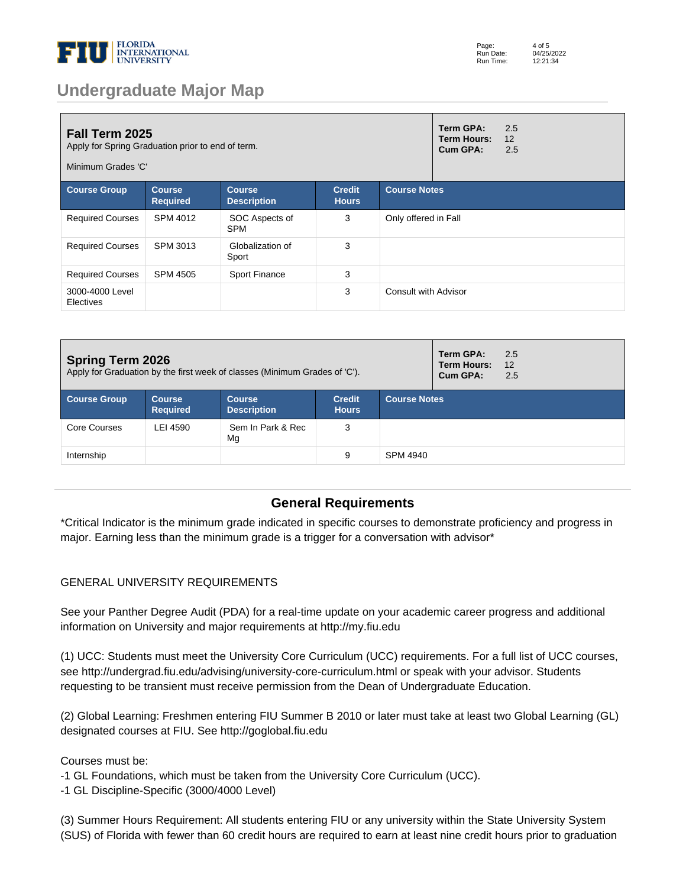

## **Undergraduate Major Map**

| <b>Fall Term 2025</b><br>Apply for Spring Graduation prior to end of term.<br>Minimum Grades 'C' |                                  |                                     |                               |                             | Term GPA:<br><b>Term Hours:</b><br>Cum GPA: | 2.5<br>12<br>2.5 |
|--------------------------------------------------------------------------------------------------|----------------------------------|-------------------------------------|-------------------------------|-----------------------------|---------------------------------------------|------------------|
| <b>Course Group</b>                                                                              | <b>Course</b><br><b>Required</b> | <b>Course</b><br><b>Description</b> | <b>Credit</b><br><b>Hours</b> | <b>Course Notes</b>         |                                             |                  |
| <b>Required Courses</b>                                                                          | SPM 4012                         | SOC Aspects of<br><b>SPM</b>        | 3                             | Only offered in Fall        |                                             |                  |
| <b>Required Courses</b>                                                                          | SPM 3013                         | Globalization of<br>Sport           | 3                             |                             |                                             |                  |
| <b>Required Courses</b>                                                                          | SPM 4505                         | Sport Finance                       | 3                             |                             |                                             |                  |
| 3000-4000 Level<br>Electives                                                                     |                                  |                                     | 3                             | <b>Consult with Advisor</b> |                                             |                  |

| <b>Spring Term 2026</b><br>Apply for Graduation by the first week of classes (Minimum Grades of 'C'). |                                  |                                     |                               |                     | Term GPA:<br><b>Term Hours:</b><br>Cum GPA: | 2.5<br>12<br>2.5 |
|-------------------------------------------------------------------------------------------------------|----------------------------------|-------------------------------------|-------------------------------|---------------------|---------------------------------------------|------------------|
| <b>Course Group</b>                                                                                   | <b>Course</b><br><b>Required</b> | <b>Course</b><br><b>Description</b> | <b>Credit</b><br><b>Hours</b> | <b>Course Notes</b> |                                             |                  |
| Core Courses                                                                                          | LEI 4590                         | Sem In Park & Rec<br>Mg             | 3                             |                     |                                             |                  |
| Internship                                                                                            |                                  |                                     | 9                             | SPM 4940            |                                             |                  |

#### **General Requirements**

\*Critical Indicator is the minimum grade indicated in specific courses to demonstrate proficiency and progress in major. Earning less than the minimum grade is a trigger for a conversation with advisor\*

#### GENERAL UNIVERSITY REQUIREMENTS

See your Panther Degree Audit (PDA) for a real-time update on your academic career progress and additional information on University and major requirements at http://my.fiu.edu

(1) UCC: Students must meet the University Core Curriculum (UCC) requirements. For a full list of UCC courses, see http://undergrad.fiu.edu/advising/university-core-curriculum.html or speak with your advisor. Students requesting to be transient must receive permission from the Dean of Undergraduate Education.

(2) Global Learning: Freshmen entering FIU Summer B 2010 or later must take at least two Global Learning (GL) designated courses at FIU. See http://goglobal.fiu.edu

Courses must be:

- 1 GL Foundations, which must be taken from the University Core Curriculum (UCC).
- 1 GL Discipline-Specific (3000/4000 Level)

(3) Summer Hours Requirement: All students entering FIU or any university within the State University System (SUS) of Florida with fewer than 60 credit hours are required to earn at least nine credit hours prior to graduation